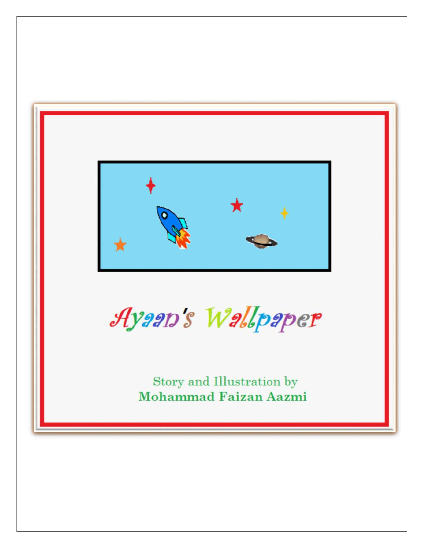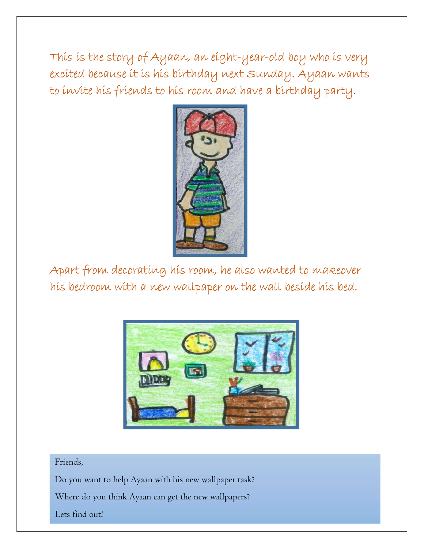This is the story of Ayaan, an eight-year-old boy who is very excited because it is his birthday next Sunday. Ayaan wants to invite his friends to his room and have a birthday party.



 Apart from decorating his room, he also wanted to makeover his bedroom with a new wallpaper on the wall beside his bed.



## Friends,

Do you want to help Ayaan with his new wallpaper task?

Where do you think Ayaan can get the new wallpapers?

Lets find out!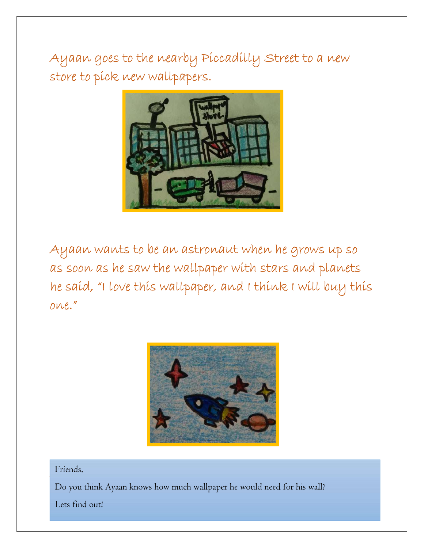Ayaan goes to the nearby Piccadilly Street to a new store to píck new wallpapers.



 Ayaan wants to be an astronaut when he grows up so as soon as he saw the wallpaper with stars and planets he said, "I love this wallpaper, and I think I will buy this one."



## Friends,

 $\boxed{\phantom{\text{red}}$  Do you think Ayaan knows how much wallpaper he would need for his wall?

Lets find out!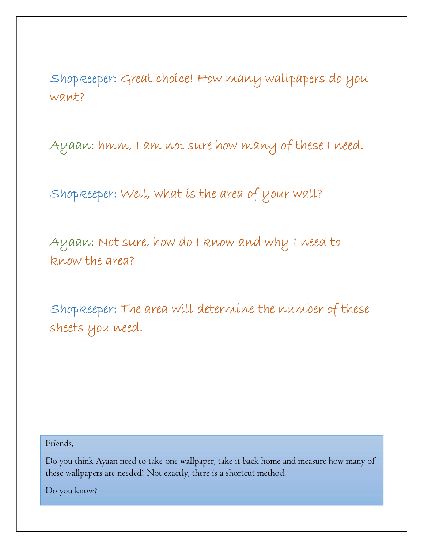Shopkeeper: Great choice! How many wallpapers do you want?

Ayaan: hmm, I am not sure how many of these I need.

Shopkeeper: Well, what is the area of your wall?

 Ayaan: Not sure, how do I know and why I need to know the area?

 Shopkeeper: The area will determine the number of these sheets you need.

Friends,

Do you think Ayaan need to take one wallpaper, take it back home and measure how many of rese wanpapers a these wallpapers are needed? Not exactly, there is a shortcut method.

Do you know?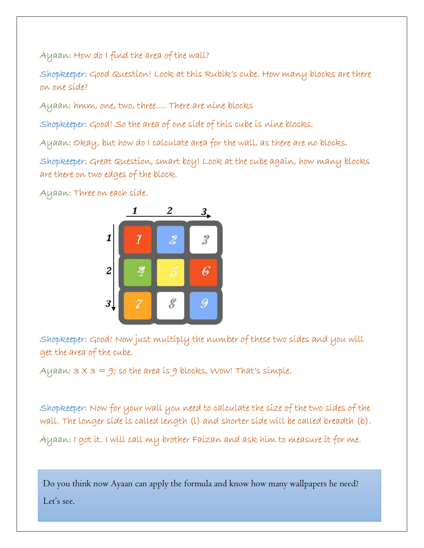Ayaan: How do I find the area of the wall?<br>Shopkeeper: Good Question! Look at this Rubik's cube. How many blocks are there on one side?

Ayaan: hmm, one, two, three…. There are nine blocks

Shopkeeper: Good! So the area of one side of this cube is nine blocks.

Ayaan: Okay, but how do I calculate area for the wall, as there are no blocks.

Shopkeeper: Great Question, smart boy! Look at the cube again, how many blocks are there on two edges of the block.

Ayaan: Three on each side.



 Shopkeeper: Good! Now just multiply the number of these two sides and you will get the area of the cube.

Ayaan:  $3 \times 3 = 9$ ; so the area is 9 blocks, Wow! That's simple.

 Shopkeeper: Now for your wall you need to calculate the size of the two sides of the wall. The longer side is called length (l) and shorter side will be called breadth (b). Ayaan: I got it. I will call my brother Faizan and ask him to measure it for me.

Do you think now Ayaan can apply the formula and know how many wallpapers he need?

Let's see.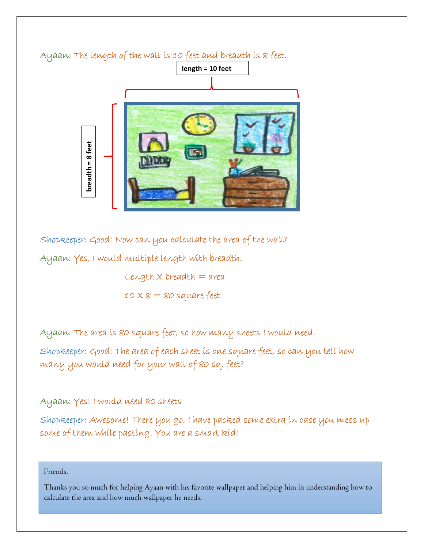

 Shopkeeper: Good! Now can you calculate the area of the wall? Ayaan: Yes, I would multiple length with breadth.

> Length  $\times$  breadth  $=$  area  $10 \times 8 = 80$  square feet

Ayaan: The area is 80 square feet, so how many sheets I would need.

Shopkeeper: Good! The area of each sheet is one square feet, so can you tell how many you would need for your wall of 80 sq. feet?

# Ayaan: Yes! I would need 80 sheets

Shopkeeper: Awesome! There you go, I have packed some extra in case you mess up some of them while pasting. You are a smart kid!

### Friends,

Thanks you so much for helping Ayaan with his favorite wallpaper and helping him in understanding how to calculate the area and how much wallpaper he needs.